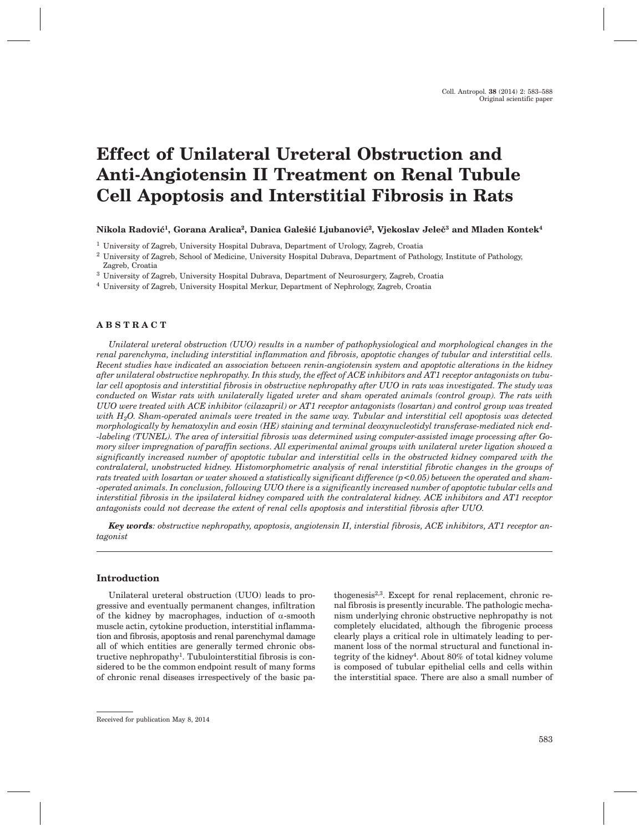# **Effect of Unilateral Ureteral Obstruction and Anti-Angiotensin II Treatment on Renal Tubule Cell Apoptosis and Interstitial Fibrosis in Rats**

# **Nikola Radovi}1, Gorana Aralica2, Danica Gale{i} Ljubanovi}2, Vjekoslav Jele~3 and Mladen Kontek4**

<sup>1</sup> University of Zagreb, University Hospital Dubrava, Department of Urology, Zagreb, Croatia

<sup>4</sup> University of Zagreb, University Hospital Merkur, Department of Nephrology, Zagreb, Croatia

# **ABSTRACT**

*Unilateral ureteral obstruction (UUO) results in a number of pathophysiological and morphological changes in the renal parenchyma, including interstitial inflammation and fibrosis, apoptotic changes of tubular and interstitial cells. Recent studies have indicated an association between renin-angiotensin system and apoptotic alterations in the kidney after unilateral obstructive nephropathy. In this study, the effect of ACE inhibitors and AT1 receptor antagonists on tubular cell apoptosis and interstitial fibrosis in obstructive nephropathy after UUO in rats was investigated. The study was conducted on Wistar rats with unilaterally ligated ureter and sham operated animals (control group). The rats with UUO were treated with ACE inhibitor (cilazapril) or AT1 receptor antagonists (losartan) and control group was treated with H2O. Sham-operated animals were treated in the same way. Tubular and interstitial cell apoptosis was detected morphologically by hematoxylin and eosin (HE) staining and terminal deoxynucleotidyl transferase-mediated nick end- -labeling (TUNEL). The area of intersitial fibrosis was determined using computer-assisted image processing after Gomory silver impregnation of paraffin sections. All experimental animal groups with unilateral ureter ligation showed a significantly increased number of apoptotic tubular and interstitial cells in the obstructed kidney compared with the contralateral, unobstructed kidney. Histomorphometric analysis of renal interstitial fibrotic changes in the groups of rats treated with losartan or water showed a statistically significant difference (p<0.05) between the operated and sham- -operated animals. In conclusion, following UUO there is a significantly increased number of apoptotic tubular cells and interstitial fibrosis in the ipsilateral kidney compared with the contralateral kidney. ACE inhibitors and AT1 receptor antagonists could not decrease the extent of renal cells apoptosis and interstitial fibrosis after UUO.*

*Key words: obstructive nephropathy, apoptosis, angiotensin II, interstial fibrosis, ACE inhibitors, AT1 receptor antagonist*

## **Introduction**

Unilateral ureteral obstruction (UUO) leads to progressive and eventually permanent changes, infiltration of the kidney by macrophages, induction of  $\alpha$ -smooth muscle actin, cytokine production, interstitial inflammation and fibrosis, apoptosis and renal parenchymal damage all of which entities are generally termed chronic obstructive nephropathy1. Tubulointerstitial fibrosis is considered to be the common endpoint result of many forms of chronic renal diseases irrespectively of the basic pathogenesis2,3. Except for renal replacement, chronic renal fibrosis is presently incurable. The pathologic mechanism underlying chronic obstructive nephropathy is not completely elucidated, although the fibrogenic process clearly plays a critical role in ultimately leading to permanent loss of the normal structural and functional integrity of the kidney<sup>4</sup>. About 80% of total kidney volume is composed of tubular epithelial cells and cells within the interstitial space. There are also a small number of

<sup>2</sup> University of Zagreb, School of Medicine, University Hospital Dubrava, Department of Pathology, Institute of Pathology, Zagreb, Croatia

<sup>3</sup> University of Zagreb, University Hospital Dubrava, Department of Neurosurgery, Zagreb, Croatia

Received for publication May 8, 2014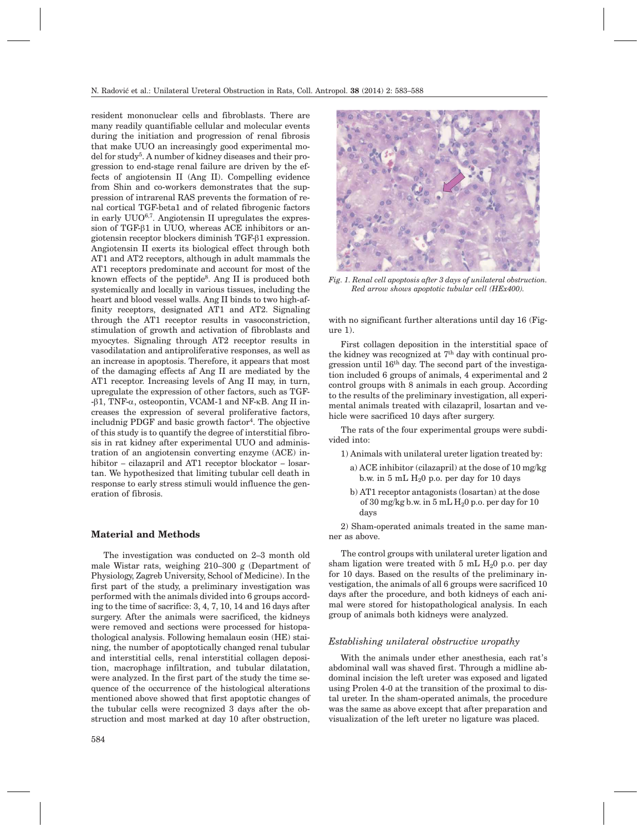resident mononuclear cells and fibroblasts. There are many readily quantifiable cellular and molecular events during the initiation and progression of renal fibrosis that make UUO an increasingly good experimental model for study5. A number of kidney diseases and their progression to end-stage renal failure are driven by the effects of angiotensin II (Ang II). Compelling evidence from Shin and co-workers demonstrates that the suppression of intrarenal RAS prevents the formation of renal cortical TGF-beta1 and of related fibrogenic factors in early  $UUO^{6,7}$ . Angiotensin II upregulates the expression of TGF- $\beta$ 1 in UUO, whereas ACE inhibitors or angiotensin receptor blockers diminish TGF-b1 expression. Angiotensin II exerts its biological effect through both AT1 and AT2 receptors, although in adult mammals the AT1 receptors predominate and account for most of the known effects of the peptide<sup>8</sup>. Ang II is produced both systemically and locally in various tissues, including the heart and blood vessel walls. Ang II binds to two high-affinity receptors, designated AT1 and AT2. Signaling through the AT1 receptor results in vasoconstriction, stimulation of growth and activation of fibroblasts and myocytes. Signaling through AT2 receptor results in vasodilatation and antiproliferative responses, as well as an increase in apoptosis. Therefore, it appears that most of the damaging effects af Ang II are mediated by the AT1 receptor. Increasing levels of Ang II may, in turn, upregulate the expression of other factors, such as TGF-  $-\beta$ 1, TNF- $\alpha$ , osteopontin, VCAM-1 and NF- $\kappa$ B. Ang II increases the expression of several proliferative factors, includnig PDGF and basic growth factor<sup>4</sup>. The objective of this study is to quantify the degree of interstitial fibrosis in rat kidney after experimental UUO and administration of an angiotensin converting enzyme (ACE) inhibitor – cilazapril and AT1 receptor blockator – losartan. We hypothesized that limiting tubular cell death in response to early stress stimuli would influence the generation of fibrosis.

# **Material and Methods**

The investigation was conducted on 2–3 month old male Wistar rats, weighing 210–300 g (Department of Physiology, Zagreb University, School of Medicine). In the first part of the study, a preliminary investigation was performed with the animals divided into 6 groups according to the time of sacrifice: 3, 4, 7, 10, 14 and 16 days after surgery. After the animals were sacrificed, the kidneys were removed and sections were processed for histopathological analysis. Following hemalaun eosin (HE) staining, the number of apoptotically changed renal tubular and interstitial cells, renal interstitial collagen deposition, macrophage infiltration, and tubular dilatation, were analyzed. In the first part of the study the time sequence of the occurrence of the histological alterations mentioned above showed that first apoptotic changes of the tubular cells were recognized 3 days after the obstruction and most marked at day 10 after obstruction,



*Fig. 1. Renal cell apoptosis after 3 days of unilateral obstruction. Red arrow shows apoptotic tubular cell (HEx400).*

with no significant further alterations until day 16 (Figure 1).

First collagen deposition in the interstitial space of the kidney was recognized at 7<sup>th</sup> day with continual progression until 16th day. The second part of the investigation included 6 groups of animals, 4 experimental and 2 control groups with 8 animals in each group. According to the results of the preliminary investigation, all experimental animals treated with cilazapril, losartan and vehicle were sacrificed 10 days after surgery.

The rats of the four experimental groups were subdivided into:

- 1) Animals with unilateral ureter ligation treated by:
	- a) ACE inhibitor (cilazapril) at the dose of 10 mg/kg b.w. in 5 mL  $H<sub>2</sub>0$  p.o. per day for 10 days
	- b) AT1 receptor antagonists (losartan) at the dose of 30 mg/kg b.w. in 5 mL  $H<sub>2</sub>0$  p.o. per day for 10 days

2) Sham-operated animals treated in the same manner as above.

The control groups with unilateral ureter ligation and sham ligation were treated with  $5 \text{ mL } H<sub>2</sub>0$  p.o. per day for 10 days. Based on the results of the preliminary investigation, the animals of all 6 groups were sacrificed 10 days after the procedure, and both kidneys of each animal were stored for histopathological analysis. In each group of animals both kidneys were analyzed.

# *Establishing unilateral obstructive uropathy*

With the animals under ether anesthesia, each rat's abdominal wall was shaved first. Through a midline abdominal incision the left ureter was exposed and ligated using Prolen 4-0 at the transition of the proximal to distal ureter. In the sham-operated animals, the procedure was the same as above except that after preparation and visualization of the left ureter no ligature was placed.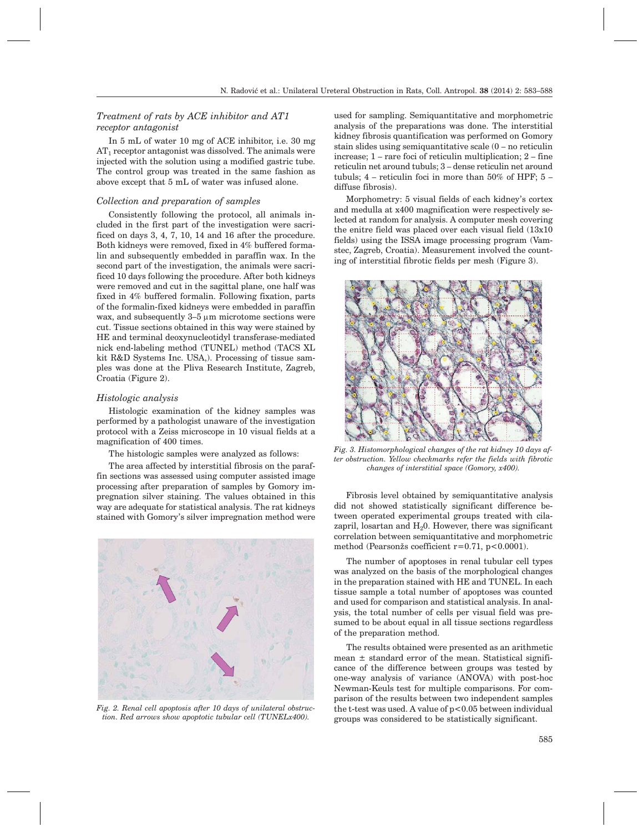# *Treatment of rats by ACE inhibitor and AT1 receptor antagonist*

In 5 mL of water 10 mg of ACE inhibitor, i.e. 30 mg  $AT_1$  receptor antagonist was dissolved. The animals were injected with the solution using a modified gastric tube. The control group was treated in the same fashion as above except that 5 mL of water was infused alone.

## *Collection and preparation of samples*

Consistently following the protocol, all animals included in the first part of the investigation were sacrificed on days 3, 4, 7, 10, 14 and 16 after the procedure. Both kidneys were removed, fixed in 4% buffered formalin and subsequently embedded in paraffin wax. In the second part of the investigation, the animals were sacrificed 10 days following the procedure. After both kidneys were removed and cut in the sagittal plane, one half was fixed in 4% buffered formalin. Following fixation, parts of the formalin-fixed kidneys were embedded in paraffin wax, and subsequently  $3-5 \mu m$  microtome sections were cut. Tissue sections obtained in this way were stained by HE and terminal deoxynucleotidyl transferase-mediated nick end-labeling method (TUNEL) method (TACS XL kit R&D Systems Inc. USA,). Processing of tissue samples was done at the Pliva Research Institute, Zagreb, Croatia (Figure 2).

#### *Histologic analysis*

Histologic examination of the kidney samples was performed by a pathologist unaware of the investigation protocol with a Zeiss microscope in 10 visual fields at a magnification of 400 times.

The histologic samples were analyzed as follows:

The area affected by interstitial fibrosis on the paraffin sections was assessed using computer assisted image processing after preparation of samples by Gomory impregnation silver staining. The values obtained in this way are adequate for statistical analysis. The rat kidneys stained with Gomory's silver impregnation method were



*Fig. 2. Renal cell apoptosis after 10 days of unilateral obstruction. Red arrows show apoptotic tubular cell (TUNELx400).*

used for sampling. Semiquantitative and morphometric analysis of the preparations was done. The interstitial kidney fibrosis quantification was performed on Gomory stain slides using semiquantitative scale (0 – no reticulin increase; 1 – rare foci of reticulin multiplication; 2 – fine reticulin net around tubuls; 3 – dense reticulin net around tubuls; 4 – reticulin foci in more than 50% of HPF; 5 – diffuse fibrosis).

Morphometry: 5 visual fields of each kidney's cortex and medulla at x400 magnification were respectively selected at random for analysis. A computer mesh covering the enitre field was placed over each visual field (13x10 fields) using the ISSA image processing program (Vamstec, Zagreb, Croatia). Measurement involved the counting of interstitial fibrotic fields per mesh (Figure 3).



*Fig. 3. Histomorphological changes of the rat kidney 10 days after obstruction. Yellow checkmarks refer the fields with fibrotic changes of interstitial space (Gomory, x400).*

Fibrosis level obtained by semiquantitative analysis did not showed statistically significant difference between operated experimental groups treated with cilazapril, losartan and  $H_2$ 0. However, there was significant correlation between semiquantitative and morphometric method (Pearsonžs coefficient  $r=0.71$ ,  $p<0.0001$ ).

The number of apoptoses in renal tubular cell types was analyzed on the basis of the morphological changes in the preparation stained with HE and TUNEL. In each tissue sample a total number of apoptoses was counted and used for comparison and statistical analysis. In analysis, the total number of cells per visual field was presumed to be about equal in all tissue sections regardless of the preparation method.

The results obtained were presented as an arithmetic mean  $\pm$  standard error of the mean. Statistical significance of the difference between groups was tested by one-way analysis of variance (ANOVA) with post-hoc Newman-Keuls test for multiple comparisons. For comparison of the results between two independent samples the t-test was used. A value of  $p < 0.05$  between individual groups was considered to be statistically significant.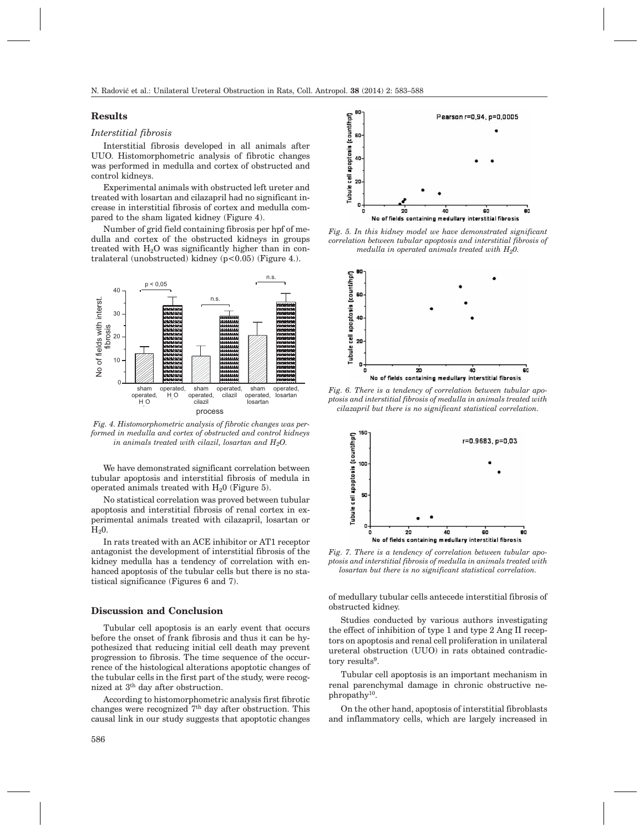## **Results**

## *Interstitial fibrosis*

Interstitial fibrosis developed in all animals after UUO. Histomorphometric analysis of fibrotic changes was performed in medulla and cortex of obstructed and control kidneys.

Experimental animals with obstructed left ureter and treated with losartan and cilazapril had no significant increase in interstitial fibrosis of cortex and medulla compared to the sham ligated kidney (Figure 4).

Number of grid field containing fibrosis per hpf of medulla and cortex of the obstructed kidneys in groups treated with  $H<sub>2</sub>O$  was significantly higher than in contralateral (unobstructed) kidney (p<0.05) (Figure 4.).



*Fig. 4. Histomorphometric analysis of fibrotic changes was performed in medulla and cortex of obstructed and control kidneys in animals treated with cilazil, losartan and H2O.*

We have demonstrated significant correlation between tubular apoptosis and interstitial fibrosis of medula in operated animals treated with  $H_2$ 0 (Figure 5).

No statistical correlation was proved between tubular apoptosis and interstitial fibrosis of renal cortex in experimental animals treated with cilazapril, losartan or  $H<sub>2</sub>0$ .

In rats treated with an ACE inhibitor or AT1 receptor antagonist the development of interstitial fibrosis of the kidney medulla has a tendency of correlation with enhanced apoptosis of the tubular cells but there is no statistical significance (Figures 6 and 7).

#### **Discussion and Conclusion**

Tubular cell apoptosis is an early event that occurs before the onset of frank fibrosis and thus it can be hypothesized that reducing initial cell death may prevent progression to fibrosis. The time sequence of the occurrence of the histological alterations apoptotic changes of the tubular cells in the first part of the study, were recognized at 3th day after obstruction.

According to histomorphometric analysis first fibrotic changes were recognized  $7<sup>th</sup>$  day after obstruction. This causal link in our study suggests that apoptotic changes



*Fig. 5. In this kidney model we have demonstrated significant correlation between tubular apoptosis and interstitial fibrosis of medulla in operated animals treated with H20.*



*Fig. 6. There is a tendency of correlation between tubular apoptosis and interstitial fibrosis of medulla in animals treated with cilazapril but there is no significant statistical correlation.*



*Fig. 7. There is a tendency of correlation between tubular apoptosis and interstitial fibrosis of medulla in animals treated with losartan but there is no significant statistical correlation.*

of medullary tubular cells antecede interstitial fibrosis of obstructed kidney.

Studies conducted by various authors investigating the effect of inhibition of type 1 and type 2 Ang II receptors on apoptosis and renal cell proliferation in unilateral ureteral obstruction (UUO) in rats obtained contradictory results<sup>9</sup>.

Tubular cell apoptosis is an important mechanism in renal parenchymal damage in chronic obstructive nephropathy<sup>10</sup>.

On the other hand, apoptosis of interstitial fibroblasts and inflammatory cells, which are largely increased in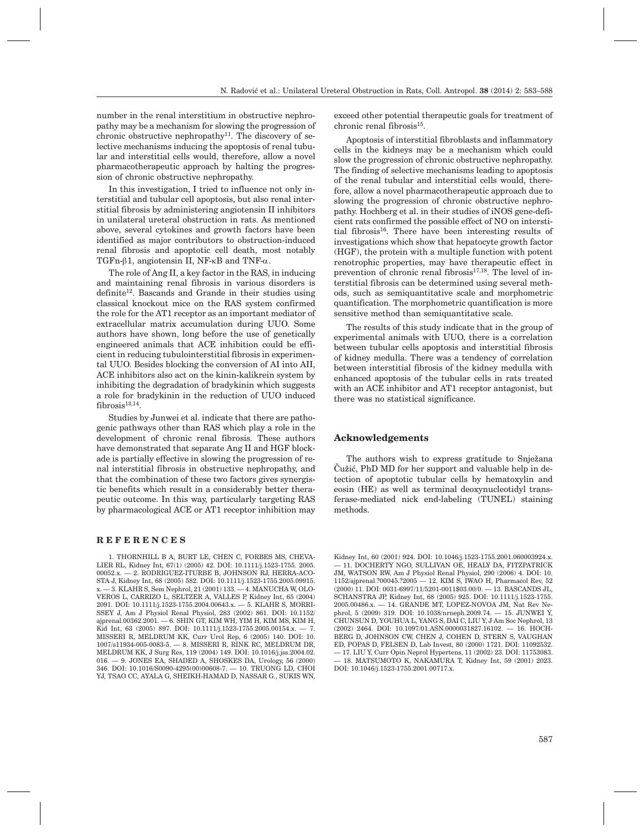number in the renal interstitium in obstructive nephropathy may be a mechanism for slowing the progression of chronic obstructive nephropathy<sup>11</sup>. The discovery of selective mechanisms inducing the apoptosis of renal tubular and interstitial cells would, therefore, allow a novel pharmacotherapeutic approach by halting the progression of chronic obstructive nephropathy.

In this investigation, I tried to influence not only interstitial and tubular cell apoptosis, but also renal interstitial fibrosis by administering angiotensin II inhibitors in unilateral ureteral obstruction in rats. As mentioned above, several cytokines and growth factors have been identified as major contributors to obstruction-induced renal fibrosis and apoptotic cell death, most notably TGFn- $\beta$ 1, angiotensin II, NF- $\kappa$ B and TNF- $\alpha$ .

The role of Ang II, a key factor in the RAS, in inducing and maintaining renal fibrosis in various disorders is  $definite<sup>12</sup>$ . Bascands and Grande in their studies using classical knockout mice on the RAS system confirmed the role for the AT1 receptor as an important mediator of extracellular matrix accumulation during UUO. Some authors have shown, long before the use of genetically engineered animals that ACE inhibition could be efficient in reducing tubulointerstitial fibrosis in experimental UUO. Besides blocking the conversion of AI into AII, ACE inhibitors also act on the kinin-kalikrein system by inhibiting the degradation of bradykinin which suggests a role for bradykinin in the reduction of UUO induced  $fibrosis<sup>13,14</sup>$ .

Studies by Junwei et al. indicate that there are pathogenic pathways other than RAS which play a role in the development of chronic renal fibrosis. These authors have demonstrated that separate Ang II and HGF blockade is partially effective in slowing the progression of renal interstitial fibrosis in obstructive nephropathy, and that the combination of these two factors gives synergistic benefits which result in a considerably better therapeutic outcome. In this way, particularly targeting RAS by pharmacological ACE or AT1 receptor inhibition may

#### **REFERENCES**

1. THORNHILL B A, BURT LE, CHEN C, FORBES MS, CHEVA-LIER RL, Kidney Int, 67(1) (2005) 42. DOI: 10.1111/j.1523-1755. 2005. 00052.x. — 2. RODRIGUEZ-ITURBE B, JOHNSON RJ, HERRA-ACO-STA J, Kidney Int, 68 (2005) 582. DOI: 10.1111/j.1523-1755.2005.09915. x. — 3. KLAHR S, Sem Nephrol, 21 (2001) 133. — 4. MANUCHA W, OLO-VEROS L, CARRIZO L, SELTZER A, VALLES P, Kidney Int, 65 (2004) 2091. DOI: 10.1111/j.1523-1755.2004.00643.x. — 5. KLAHR S, MORRI-SSEY J, Am J Physiol Renal Physiol, 283 (2002) 861. DOI: 10.1152/ ajprenal.00362.2001. — 6. SHIN GT, KIM WH, YIM H, KIM MS, KIM H, Kid Int, 63 (2005) 897. DOI: 10.1111/j.1523-1755.2005.00154.x. — 7. MISSERI R, MELDRUM KK, Curr Urol Rep, 6 (2005) 140. DOI: 10. 1007/s11934-005-0083-5. — 8. MISSERI R, RINK RC, MELDRUM DR, MELDRUM KK, J Surg Res, 119 (2004) 149. DOI: 10.1016/j.jss.2004.02. 016. — 9. JONES EA, SHADED A, SHOSKES DA, Urology, 56 (2000) 346. DOI: 10.1016/S0090-4295(00)00608-7. — 10. TRUONG LD, CHOI YJ, TSAO CC, AYALA G, SHEIKH-HAMAD D, NASSAR G., SUKIS WN, exceed other potential therapeutic goals for treatment of chronic renal fibrosis $^{15}$ .

Apoptosis of interstitial fibroblasts and inflammatory cells in the kidneys may be a mechanism which could slow the progression of chronic obstructive nephropathy. The finding of selective mechanisms leading to apoptosis of the renal tubular and interstitial cells would, therefore, allow a novel pharmacotherapeutic approach due to slowing the progression of chronic obstructive nephropathy. Hochberg et al. in their studies of iNOS gene-deficient rats confirmed the possible effect of NO on interstitial fibrosis16. There have been interesting results of investigations which show that hepatocyte growth factor (HGF), the protein with a multiple function with potent renotrophic properties, may have therapeutic effect in prevention of chronic renal fibrosis<sup>17,18</sup>. The level of interstitial fibrosis can be determined using several methods, such as semiquantitative scale and morphometric quantification. The morphometric quantification is more sensitive method than semiquantitative scale.

The results of this study indicate that in the group of experimental animals with UUO, there is a correlation between tubular cells apoptosis and interstitial fibrosis of kidney medulla. There was a tendency of correlation between interstitial fibrosis of the kidney medulla with enhanced apoptosis of the tubular cells in rats treated with an ACE inhibitor and AT1 receptor antagonist, but there was no statistical significance.

## **Acknowledgements**

The authors wish to express gratitude to Snježana ^u`i}, PhD MD for her support and valuable help in detection of apoptotic tubular cells by hematoxylin and eosin (HE) as well as terminal deoxynucleotidyl transferase-mediated nick end-labeling (TUNEL) staining methods.

Kidney Int, 60 (2001) 924. DOI: 10.1046/j.1523-1755.2001.060003924.x. — 11. DOCHERTY NGO, SULLIVAN OE, HEALY DA, FITZPATRICK JM, WATSON RW, Am J Physiol Renal Physiol, 290 (2006) 4. DOI: 10. 1152/ajprenal.?00045.?2005 — 12. KIM S, IWAO H, Pharmacol Rev, 52 (2000) 11. DOI: 0031-6997/11/5201-0011\$03.00/0. — 13. BASCANDS JL, SCHANSTRA JP, Kidney Int, 68 (2005) 925. DOI: 10.1111/j.1523-1755. 2005.00486.x. — 14. GRANDE MT, LOPEZ-NOVOA JM, Nat Rev Nephrol, 5 (2009) 319. DOI: 10.1038/nrneph.2009.74. — 15. JUNWEI Y, CHUNSUN D, YOUHUA L, YANG S, DAI C, LIU Y, J Am Soc Nephrol, 13 (2002) 2464. DOI: 10.1097/01.ASN.0000031827.16102. — 16. HOCH-BERG D, JOHNSON CW, CHEN J, COHEN D, STERN S, VAUGHAN ED, POPAS D, FELSEN D, Lab Invest, 80 (2000) 1721. DOI: 11092532. — 17. LIU Y, Curr Opin Neprol Hypertens, 11 (2002) 23. DOI: 11753083. — 18. MATSUMOTO K, NAKAMURA T, Kidney Int, 59 (2001) 2023. DOI: 10.1046/j.1523-1755.2001.00717.x.